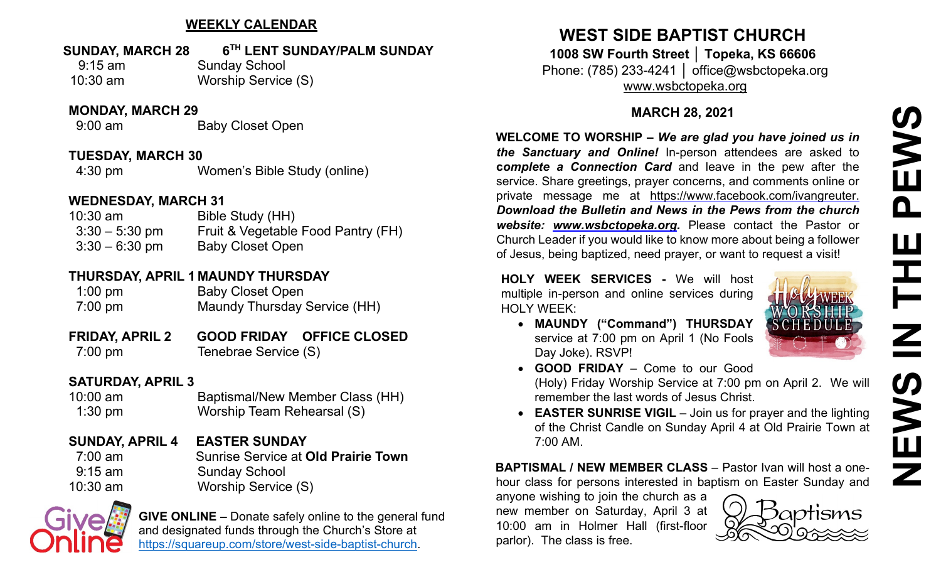# **NEWS IN THE PEWS**EWS  $\overline{\mathbf{a}}$ Ш IH Z  $\boldsymbol{\omega}$ **SAME**

#### **WEEKLY CALENDAR**

#### **SUNDAY, MARCH 28 6TH LENT SUNDAY/PALM SUNDAY**

9:15 am Sunday School 10:30 am Worship Service (S)

#### **MONDAY, MARCH 29**

9:00 am Baby Closet Open

#### **TUESDAY, MARCH 30**

4:30 pm Women's Bible Study (online)

#### **WEDNESDAY, MARCH 31**

| $10:30$ am       | Bible Study (HH)                   |
|------------------|------------------------------------|
| $3:30 - 5:30$ pm | Fruit & Vegetable Food Pantry (FH) |
| $3:30 - 6:30$ pm | <b>Baby Closet Open</b>            |

#### **THURSDAY, APRIL 1 MAUNDY THURSDAY**

1:00 pm Baby Closet Open 7:00 pm Maundy Thursday Service (HH)

**FRIDAY, APRIL 2 GOOD FRIDAY OFFICE CLOSED** 7:00 pm Tenebrae Service (S)

#### **SATURDAY, APRIL 3**

10:00 am Baptismal/New Member Class (HH) 1:30 pm Worship Team Rehearsal (S)

**SUNDAY, APRIL 4 EASTER SUNDAY** 7:00 am Sunrise Service at **Old Prairie Town** 9:15 am Sunday School 10:30 am Worship Service (S)



**GIVE ONLINE –** Donate safely online to the general fund and designated funds through the Church's Store at [https://squareup.com/store/west-side-baptist-church.](https://squareup.com/store/west-side-baptist-church)

## **WEST SIDE BAPTIST CHURCH**

**1008 SW Fourth Street │ Topeka, KS 66606** Phone: (785) 233-4241 │ office@wsbctopeka.org [www.wsbctopeka.org](http://www.wsbctopeka.org/)

#### **MARCH 28, 2021**

**WELCOME TO WORSHIP –** *We are glad you have joined us in the Sanctuary and Online!* In-person attendees are asked to **c***omplete a Connection Card* and leave in the pew after the service. Share greetings, prayer concerns, and comments online or private message me at <https://www.facebook.com/ivangreuter.> *Download the Bulletin and News in the Pews from the church website: [www.wsbctopeka.org.](http://www.wsbctopeka.org/)* Please contact the Pastor or Church Leader if you would like to know more about being a follower of Jesus, being baptized, need prayer, or want to request a visit!

**HOLY WEEK SERVICES -** We will host multiple in-person and online services during HOLY WEEK:

- WEEK • **MAUNDY ("Command") THURSDAY**  service at 7:00 pm on April 1 (No Fools
- Day Joke). RSVP! • **GOOD FRIDAY** – Come to our Good (Holy) Friday Worship Service at 7:00 pm on April 2. We will remember the last words of Jesus Christ.
- **EASTER SUNRISE VIGIL** Join us for prayer and the lighting of the Christ Candle on Sunday April 4 at Old Prairie Town at 7:00 AM.

**BAPTISMAL / NEW MEMBER CLASS** – Pastor Ivan will host a onehour class for persons interested in baptism on Easter Sunday and

anyone wishing to join the church as a new member on Saturday, April 3 at 10:00 am in Holmer Hall (first-floor parlor). The class is free.

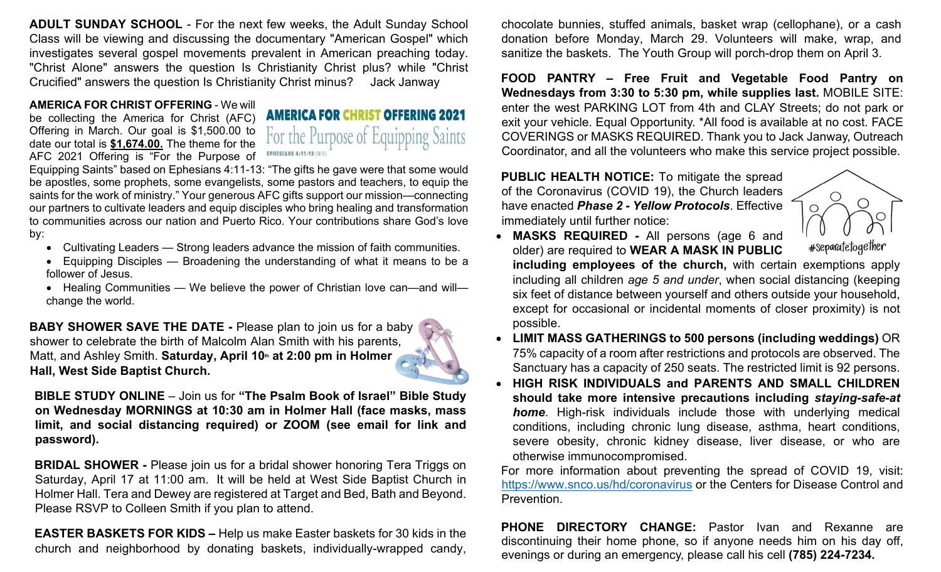**ADULT SUNDAY SCHOOL** - For the next few weeks, the Adult Sunday School Class will be viewing and discussing the documentary "American Gospel" which investigates several gospel movements prevalent in American preaching today. "Christ Alone" answers the question Is Christianity Christ plus? while "Christ Crucified" answers the question Is Christianity Christ minus? Jack Janway

#### **AMERICA FOR CHRIST OFFERING** - We will

be collecting the America for Christ (AFC) Offering in March. Our goal is \$1,500.00 to date our total is **\$1,674.00.** The theme for the AFC 2021 Offering is "For the Purpose of

**AMERICA FOR CHRIST OFFERING 2021** the Purpose of quipping Saints **EPHESIANS 4:11-13 (NIV)** 

Equipping Saints" based on Ephesians 4:11-13: "The gifts he gave were that some would be apostles, some prophets, some evangelists, some pastors and teachers, to equip the saints for the work of ministry." Your generous AFC gifts support our mission—connecting our partners to cultivate leaders and equip disciples who bring healing and transformation to communities across our nation and Puerto Rico. Your contributions share God's love by:

- Cultivating Leaders Strong leaders advance the mission of faith communities.
- Equipping Disciples Broadening the understanding of what it means to be a follower of Jesus.
- Healing Communities We believe the power of Christian love can—and will change the world.

**BABY SHOWER SAVE THE DATE -** Please plan to join us for a baby shower to celebrate the birth of Malcolm Alan Smith with his parents, Matt, and Ashley Smith. Saturday, April 10<sup>th</sup> at 2:00 pm in Holmer **Hall, West Side Baptist Church.** 

**BIBLE STUDY ONLINE** – Join us for **"The Psalm Book of Israel" Bible Study on Wednesday MORNINGS at 10:30 am in Holmer Hall (face masks, mass limit, and social distancing required) or ZOOM (see email for link and password).** 

**BRIDAL SHOWER -** Please join us for a bridal shower honoring Tera Triggs on Saturday, April 17 at 11:00 am. It will be held at West Side Baptist Church in Holmer Hall. Tera and Dewey are registered at Target and Bed, Bath and Beyond. Please RSVP to Colleen Smith if you plan to attend.

**EASTER BASKETS FOR KIDS –** Help us make Easter baskets for 30 kids in the church and neighborhood by donating baskets, individually-wrapped candy, chocolate bunnies, stuffed animals, basket wrap (cellophane), or a cash donation before Monday, March 29. Volunteers will make, wrap, and sanitize the baskets. The Youth Group will porch-drop them on April 3.

**FOOD PANTRY – Free Fruit and Vegetable Food Pantry on Wednesdays from 3:30 to 5:30 pm, while supplies last.** MOBILE SITE: enter the west PARKING LOT from 4th and CLAY Streets; do not park or exit your vehicle. Equal Opportunity. \*All food is available at no cost. FACE COVERINGS or MASKS REQUIRED. Thank you to Jack Janway, Outreach Coordinator, and all the volunteers who make this service project possible.

**PUBLIC HEALTH NOTICE:** To mitigate the spread of the Coronavirus (COVID 19), the Church leaders have enacted *Phase 2 - Yellow Protocols*. Effective immediately until further notice:



• **MASKS REQUIRED -** All persons (age 6 and older) are required to **WEAR A MASK IN PUBLIC including employees of the church,** with certain exemptions apply including all children *age 5 and under*, when social distancing (keeping

six feet of distance between yourself and others outside your household, except for occasional or incidental moments of closer proximity) is not possible.

- **LIMIT MASS GATHERINGS to 500 persons (including weddings)** OR 75% capacity of a room after restrictions and protocols are observed. The Sanctuary has a capacity of 250 seats. The restricted limit is 92 persons.
- **HIGH RISK INDIVIDUALS and PARENTS AND SMALL CHILDREN should take more intensive precautions including** *staying-safe-at home*. High-risk individuals include those with underlying medical conditions, including chronic lung disease, asthma, heart conditions, severe obesity, chronic kidney disease, liver disease, or who are otherwise immunocompromised.

For more information about preventing the spread of COVID 19, visit: <https://www.snco.us/hd/coronavirus> or the Centers for Disease Control and Prevention.

**PHONE DIRECTORY CHANGE:** Pastor Ivan and Rexanne are discontinuing their home phone, so if anyone needs him on his day off, evenings or during an emergency, please call his cell **(785) 224-7234.**